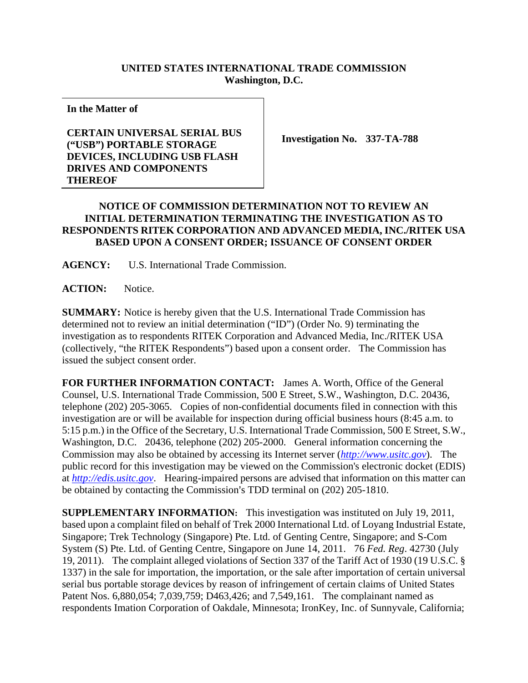## **UNITED STATES INTERNATIONAL TRADE COMMISSION Washington, D.C.**

**In the Matter of** 

## **CERTAIN UNIVERSAL SERIAL BUS ("USB") PORTABLE STORAGE DEVICES, INCLUDING USB FLASH DRIVES AND COMPONENTS THEREOF**

**Investigation No. 337-TA-788** 

## **NOTICE OF COMMISSION DETERMINATION NOT TO REVIEW AN INITIAL DETERMINATION TERMINATING THE INVESTIGATION AS TO RESPONDENTS RITEK CORPORATION AND ADVANCED MEDIA, INC./RITEK USA BASED UPON A CONSENT ORDER; ISSUANCE OF CONSENT ORDER**

**AGENCY:** U.S. International Trade Commission.

ACTION: Notice.

**SUMMARY:** Notice is hereby given that the U.S. International Trade Commission has determined not to review an initial determination ("ID") (Order No. 9) terminating the investigation as to respondents RITEK Corporation and Advanced Media, Inc./RITEK USA (collectively, "the RITEK Respondents") based upon a consent order. The Commission has issued the subject consent order.

**FOR FURTHER INFORMATION CONTACT:** James A. Worth, Office of the General Counsel, U.S. International Trade Commission, 500 E Street, S.W., Washington, D.C. 20436, telephone (202) 205-3065. Copies of non-confidential documents filed in connection with this investigation are or will be available for inspection during official business hours (8:45 a.m. to 5:15 p.m.) in the Office of the Secretary, U.S. International Trade Commission, 500 E Street, S.W., Washington, D.C. 20436, telephone (202) 205-2000. General information concerning the Commission may also be obtained by accessing its Internet server (*http://www.usitc.gov*). The public record for this investigation may be viewed on the Commission's electronic docket (EDIS) at *http://edis.usitc.gov*. Hearing-impaired persons are advised that information on this matter can be obtained by contacting the Commission's TDD terminal on (202) 205-1810.

**SUPPLEMENTARY INFORMATION:** This investigation was instituted on July 19, 2011, based upon a complaint filed on behalf of Trek 2000 International Ltd. of Loyang Industrial Estate, Singapore; Trek Technology (Singapore) Pte. Ltd. of Genting Centre, Singapore; and S-Com System (S) Pte. Ltd. of Genting Centre, Singapore on June 14, 2011. 76 *Fed. Reg*. 42730 (July 19, 2011). The complaint alleged violations of Section 337 of the Tariff Act of 1930 (19 U.S.C. § 1337) in the sale for importation, the importation, or the sale after importation of certain universal serial bus portable storage devices by reason of infringement of certain claims of United States Patent Nos. 6,880,054; 7,039,759; D463,426; and 7,549,161. The complainant named as respondents Imation Corporation of Oakdale, Minnesota; IronKey, Inc. of Sunnyvale, California;